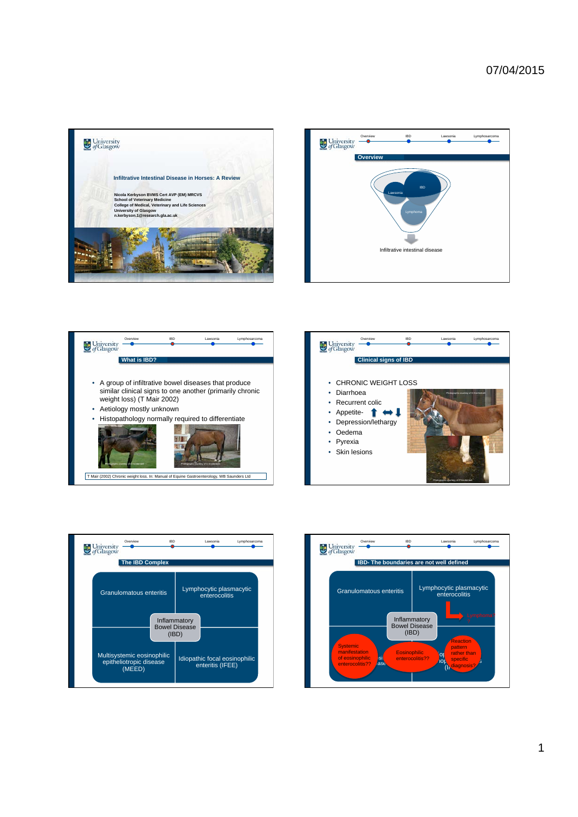







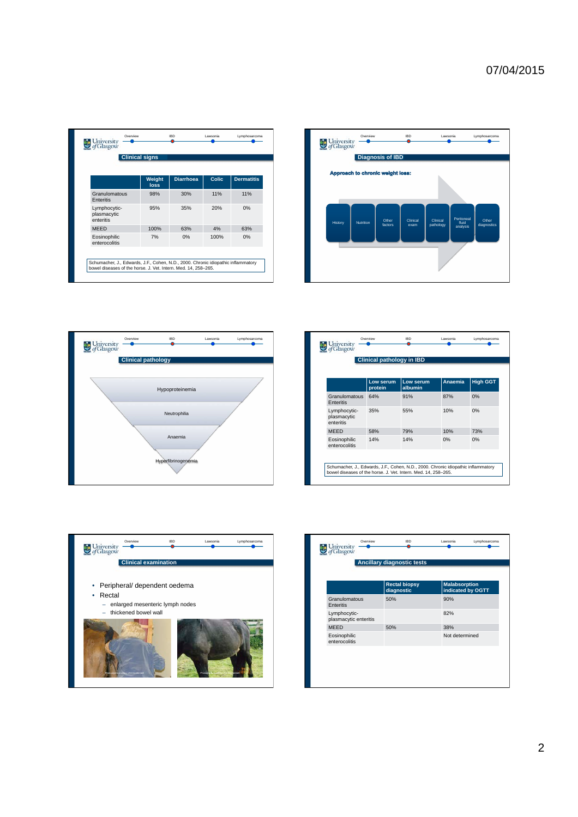|                                          | <b>Clinical signs</b> |                  |       |                   |
|------------------------------------------|-----------------------|------------------|-------|-------------------|
|                                          | Weight<br>loss        | <b>Diarrhoea</b> | Colic | <b>Dermatitis</b> |
| Granulomatous<br>Enteritis               | 98%                   | 30%              | 11%   | 11%               |
| Lymphocytic-<br>plasmacytic<br>enteritis | 95%                   | 35%              | 20%   | 0%                |
| <b>MEED</b>                              | 100%                  | 63%              | 4%    | 63%               |
| Eosinophilic<br>enterocolitis            | 7%                    | 0%               | 100%  | 0%                |





|                                          | Low serum<br>protein | Low serum<br>albumin | Anaemia | <b>High GGT</b> |
|------------------------------------------|----------------------|----------------------|---------|-----------------|
| Granulomatous<br>Enteritis               | 64%                  | 91%                  | 87%     | 0%              |
| Lymphocytic-<br>plasmacytic<br>enteritis | 35%                  | 55%                  | 10%     | 0%              |
| <b>MEED</b>                              | 58%                  | 79%                  | 10%     | 73%             |
| Eosinophilic<br>enterocolitis            | 14%                  | 14%                  | 0%      | 0%              |



|                                       | <b>Rectal biopsy</b><br>diagnostic | <b>Malabsorption</b><br>indicated by OGTT |
|---------------------------------------|------------------------------------|-------------------------------------------|
| Granulomatous<br>Enteritis            | 50%                                | 90%                                       |
| Lymphocytic-<br>plasmacytic enteritis |                                    | 82%                                       |
| <b>MEED</b>                           | 50%                                | 38%                                       |
| Eosinophilic<br>enterocolitis         |                                    | Not determined                            |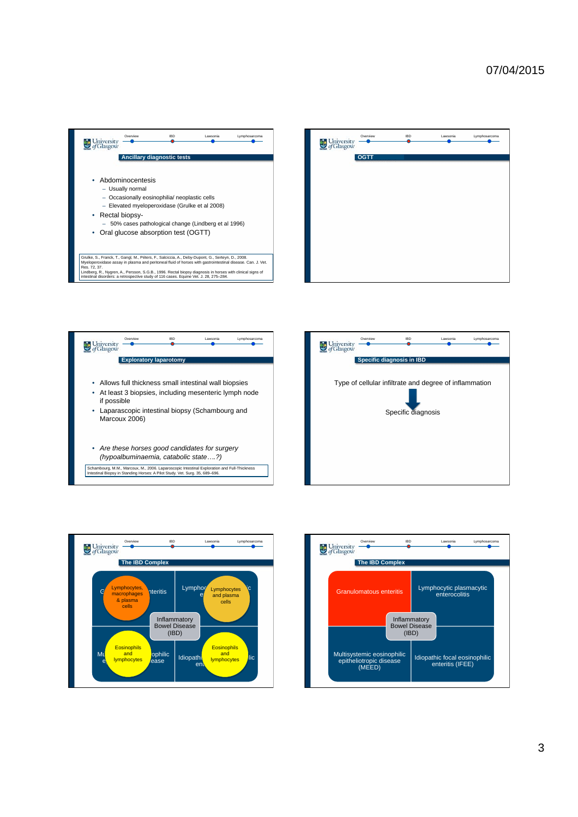









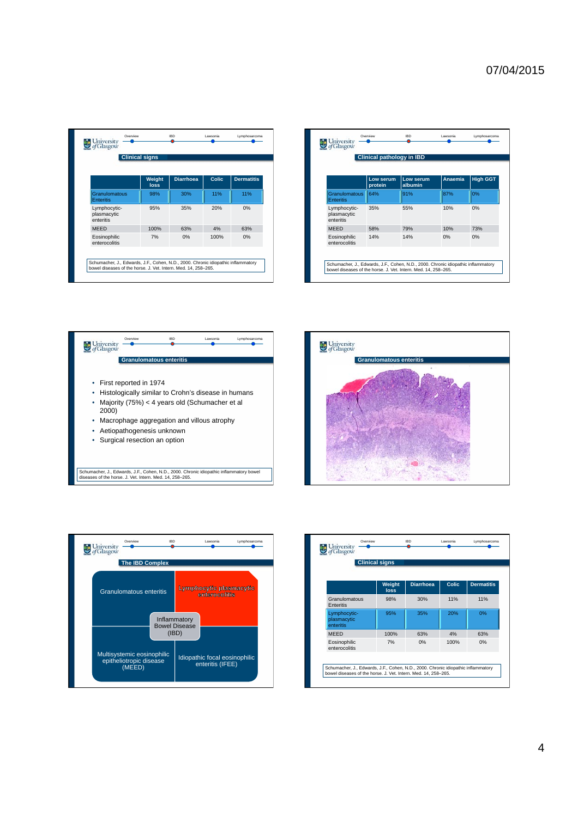|                                          | <b>Clinical signs</b> |                  |              |                   |
|------------------------------------------|-----------------------|------------------|--------------|-------------------|
|                                          | Weight<br><b>loss</b> | <b>Diarrhoea</b> | <b>Colic</b> | <b>Dermatitis</b> |
| Granulomatous<br><b>Enteritis</b>        | 98%                   | 30%              | 11%          | 11%               |
| Lymphocytic-<br>plasmacytic<br>enteritis | 95%                   | 35%              | 20%          | 0%                |
| <b>MEED</b>                              | 100%                  | 63%              | 4%           | 63%               |
| Eosinophilic<br>enterocolitis            | 7%                    | 0%               | 100%         | 0%                |

|                                          | <b>Clinical pathology in IBD</b> |                      |         |                 |  |
|------------------------------------------|----------------------------------|----------------------|---------|-----------------|--|
|                                          | Low serum<br>protein             | Low serum<br>albumin | Anaemia | <b>High GGT</b> |  |
| <b>Granulomatous</b><br><b>Enteritis</b> | 64%                              | 91%                  | 87%     | 0%              |  |
| Lymphocytic-<br>plasmacytic<br>enteritis | 35%                              | 55%                  | 10%     | 0%              |  |
| <b>MEED</b>                              | 58%                              | 79%                  | 10%     | 73%             |  |
| Eosinophilic<br>enterocolitis            | 14%                              | 14%                  | 0%      | 0%              |  |







| <b>Clinical signs</b>                    |                |                  |              |                   |  |
|------------------------------------------|----------------|------------------|--------------|-------------------|--|
|                                          | Weight<br>loss | <b>Diarrhoea</b> | <b>Colic</b> | <b>Dermatitis</b> |  |
| Granulomatous<br>Enteritis               | 98%            | 30%              | 11%          | 11%               |  |
| Lymphocytic-<br>plasmacytic<br>enteritis | 95%            | 35%              | 20%          | 0%                |  |
| <b>MEED</b>                              | 100%           | 63%              | 4%           | 63%               |  |
| Eosinophilic<br>enterocolitis            | 7%             | 0%               | 100%         | 0%                |  |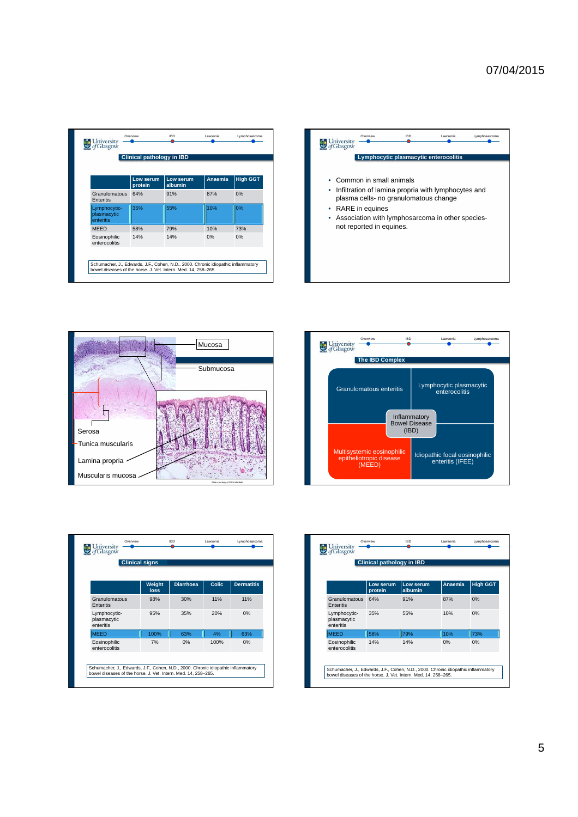| <b>Clinical pathology in IBD</b>         |                      |                      |         |                 |
|------------------------------------------|----------------------|----------------------|---------|-----------------|
|                                          | Low serum<br>protein | Low serum<br>albumin | Anaemia | <b>High GGT</b> |
| Granulomatous<br>Enteritis               | 64%                  | 91%                  | 87%     | 0%              |
| Lymphocytic-<br>plasmacytic<br>enteritis | 35%                  | 55%                  | 10%     | 0%              |
| <b>MEED</b>                              | 58%                  | 79%                  | 10%     | 73%             |
| Eosinophilic<br>enterocolitis            | 14%                  | 14%                  | 0%      | 0%              |







|                                          | <b>Clinical signs</b> |                  |       |                   |
|------------------------------------------|-----------------------|------------------|-------|-------------------|
|                                          | Weight<br><b>loss</b> | <b>Diarrhoea</b> | Colic | <b>Dermatitis</b> |
| Granulomatous<br>Enteritis               | 98%                   | 30%              | 11%   | 11%               |
| Lymphocytic-<br>plasmacytic<br>enteritis | 95%                   | 35%              | 20%   | 0%                |
| <b>MEED</b>                              | 100%                  | 63%              | 4%    | 63%               |
| Eosinophilic<br>enterocolitis            | 7%                    | 0%               | 100%  | 0%                |

| <b>Clinical pathology in IBD</b>         |                      |                      |         |                 |
|------------------------------------------|----------------------|----------------------|---------|-----------------|
|                                          | Low serum<br>protein | Low serum<br>albumin | Anaemia | <b>High GGT</b> |
| Granulomatous<br>Enteritis               | 64%                  | 91%                  | 87%     | 0%              |
| Lymphocytic-<br>plasmacytic<br>enteritis | 35%                  | 55%                  | 10%     | 0%              |
| <b>MEED</b>                              | 58%                  | 79%                  | 10%     | 73%             |
| Eosinophilic<br>enterocolitis            | 14%                  | 14%                  | 0%      | 0%              |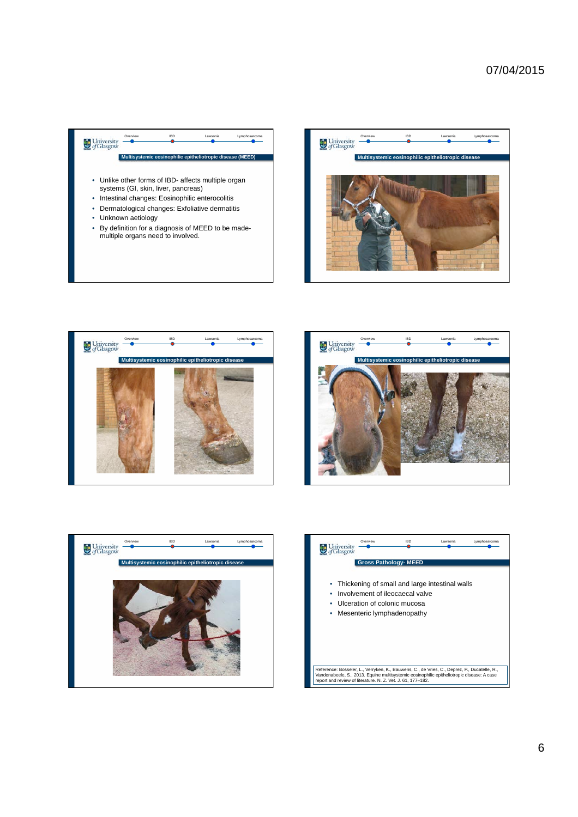









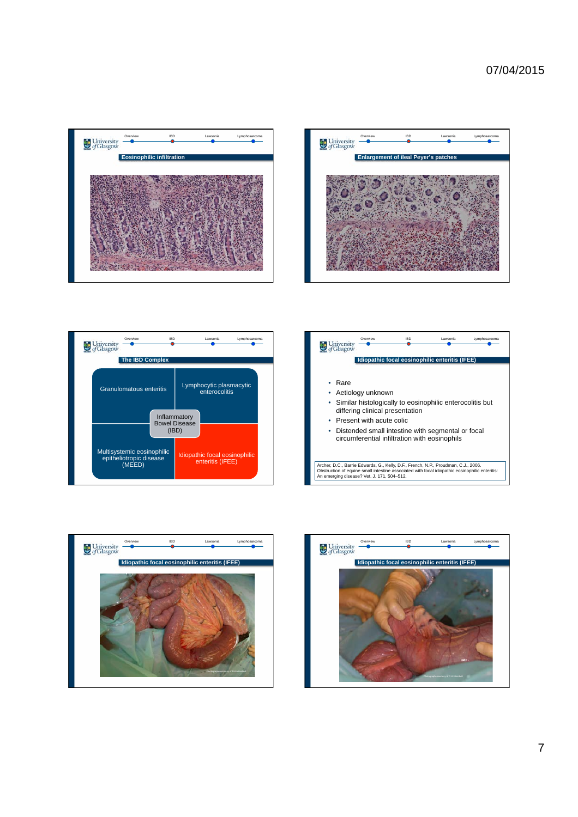









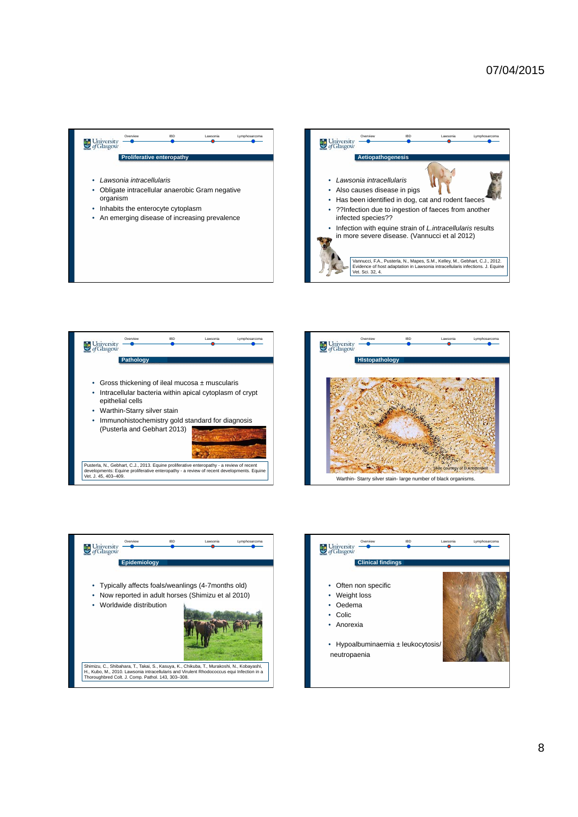









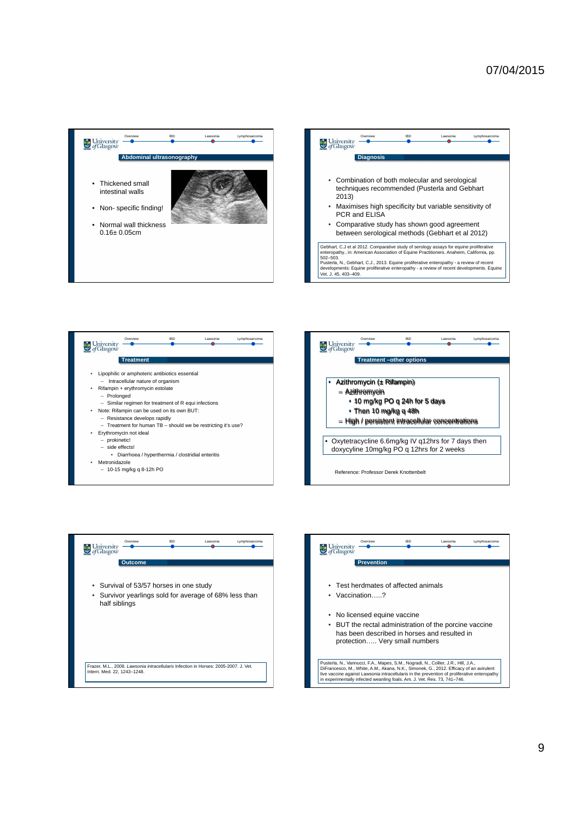